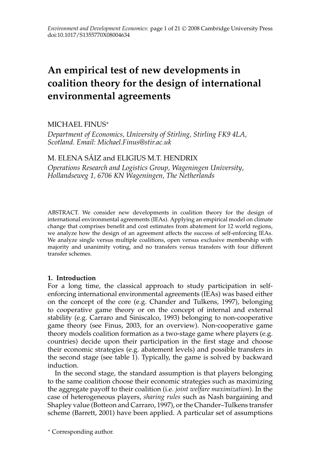# **An empirical test of new developments in coalition theory for the design of international environmental agreements**

# MICHAEL FINUS<sup>∗</sup>

*Department of Economics, University of Stirling, Stirling FK9 4LA, Scotland. Email: Michael.Finus@stir.ac.uk*

# M. ELENA SAIZ and ELIGIUS M.T. HENDRIX ´

*Operations Research and Logistics Group, Wageningen University, Hollandseweg 1, 6706 KN Wageningen, The Netherlands*

ABSTRACT. We consider new developments in coalition theory for the design of international environmental agreements (IEAs). Applying an empirical model on climate change that comprises benefit and cost estimates from abatement for 12 world regions, we analyze how the design of an agreement affects the success of self-enforcing IEAs. We analyze single versus multiple coalitions, open versus exclusive membership with majority and unanimity voting, and no transfers versus transfers with four different transfer schemes.

## **1. Introduction**

For a long time, the classical approach to study participation in selfenforcing international environmental agreements (IEAs) was based either on the concept of the core (e.g. Chander and Tulkens, 1997), belonging to cooperative game theory or on the concept of internal and external stability (e.g. Carraro and Siniscalco, 1993) belonging to non-cooperative game theory (see Finus, 2003, for an overview). Non-cooperative game theory models coalition formation as a two-stage game where players (e.g. countries) decide upon their participation in the first stage and choose their economic strategies (e.g. abatement levels) and possible transfers in the second stage (see table 1). Typically, the game is solved by backward induction.

In the second stage, the standard assumption is that players belonging to the same coalition choose their economic strategies such as maximizing the aggregate payoff to their coalition (i.e. *joint welfare maximization*). In the case of heterogeneous players, *sharing rules* such as Nash bargaining and Shapley value (Botteon and Carraro, 1997), or the Chander–Tulkens transfer scheme (Barrett, 2001) have been applied. A particular set of assumptions

<sup>∗</sup> Corresponding author.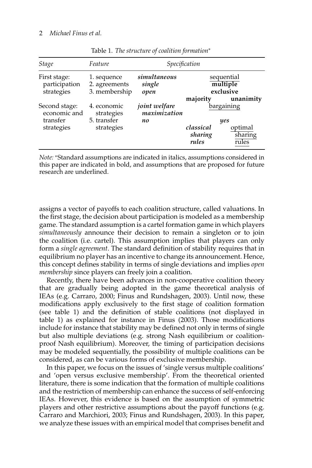| <b>Stage</b>                                | Feature                                       | Specification                  |                               |                                                  |  |  |  |  |
|---------------------------------------------|-----------------------------------------------|--------------------------------|-------------------------------|--------------------------------------------------|--|--|--|--|
| First stage:<br>participation<br>strategies | 1. sequence<br>2. agreements<br>3. membership | simultaneous<br>single<br>open | majority                      | sequential<br>multiple<br>exclusive<br>unanimity |  |  |  |  |
| Second stage:<br>economic and               | 4. economic<br>strategies                     | joint welfare<br>maximization  |                               | bargaining                                       |  |  |  |  |
| transfer<br>strategies                      | 5. transfer<br>strategies                     | no                             | classical<br>sharing<br>rules | yes<br>optimal<br>sharing<br>rules               |  |  |  |  |

Table 1. *The structure of coalition formation*<sup>∗</sup>

*Note:* <sup>∗</sup>Standard assumptions are indicated in italics, assumptions considered in this paper are indicated in bold, and assumptions that are proposed for future research are underlined.

assigns a vector of payoffs to each coalition structure, called valuations. In the first stage, the decision about participation is modeled as a membership game. The standard assumption is a cartel formation game in which players *simultaneously* announce their decision to remain a singleton or to join the coalition (i.e. cartel). This assumption implies that players can only form a *single agreement*. The standard definition of stability requires that in equilibrium no player has an incentive to change its announcement. Hence, this concept defines stability in terms of single deviations and implies *open membership* since players can freely join a coalition.

Recently, there have been advances in non-cooperative coalition theory that are gradually being adopted in the game theoretical analysis of IEAs (e.g. Carraro, 2000; Finus and Rundshagen, 2003). Until now, these modifications apply exclusively to the first stage of coalition formation (see table 1) and the definition of stable coalitions (not displayed in table 1) as explained for instance in Finus (2003). Those modifications include for instance that stability may be defined not only in terms of single but also multiple deviations (e.g. strong Nash equilibrium or coalitionproof Nash equilibrium). Moreover, the timing of participation decisions may be modeled sequentially, the possibility of multiple coalitions can be considered, as can be various forms of exclusive membership.

In this paper, we focus on the issues of 'single versus multiple coalitions' and 'open versus exclusive membership'. From the theoretical oriented literature, there is some indication that the formation of multiple coalitions and the restriction of membership can enhance the success of self-enforcing IEAs. However, this evidence is based on the assumption of symmetric players and other restrictive assumptions about the payoff functions (e.g. Carraro and Marchiori, 2003; Finus and Rundshagen, 2003). In this paper, we analyze these issues with an empirical model that comprises benefit and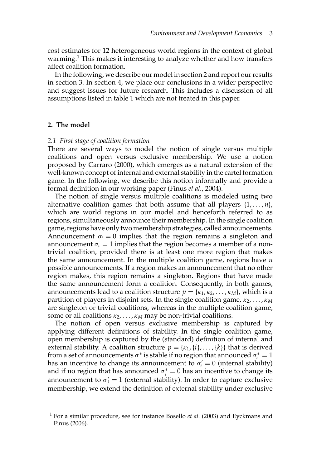cost estimates for 12 heterogeneous world regions in the context of global warming.<sup>1</sup> This makes it interesting to analyze whether and how transfers affect coalition formation.

In the following, we describe our model in section 2 and report our results in section 3. In section 4, we place our conclusions in a wider perspective and suggest issues for future research. This includes a discussion of all assumptions listed in table 1 which are not treated in this paper.

## **2. The model**

#### *2.1 First stage of coalition formation*

There are several ways to model the notion of single versus multiple coalitions and open versus exclusive membership. We use a notion proposed by Carraro (2000), which emerges as a natural extension of the well-known concept of internal and external stability in the cartel formation game. In the following, we describe this notion informally and provide a formal definition in our working paper (Finus *et al.*, 2004).

The notion of single versus multiple coalitions is modeled using two alternative coalition games that both assume that all players  $\{1, \ldots, n\}$ , which are world regions in our model and henceforth referred to as regions, simultaneously announce their membership. In the single coalition game, regions have only two membership strategies, called announcements. Announcement  $\sigma_i = 0$  implies that the region remains a singleton and announcement  $\sigma_i = 1$  implies that the region becomes a member of a nontrivial coalition, provided there is at least one more region that makes the same announcement. In the multiple coalition game, regions have *n* possible announcements. If a region makes an announcement that no other region makes, this region remains a singleton. Regions that have made the same announcement form a coalition. Consequently, in both games, announcements lead to a coalition structure  $p = \{k_1, k_2, \ldots, k_M\}$ , which is a partition of players in disjoint sets. In the single coalition game,  $\kappa_2, \ldots, \kappa_M$ are singleton or trivial coalitions, whereas in the multiple coalition game, some or all coalitions  $\kappa_2, \ldots, \kappa_M$  may be non-trivial coalitions.

The notion of open versus exclusive membership is captured by applying different definitions of stability. In the single coalition game, open membership is captured by the (standard) definition of internal and external stability. A coalition structure  $p = \{k_1, \{i\}, \dots, \{k\}\}\$  that is derived from a set of announcements  $\sigma^*$  is stable if no region that announced  $\sigma_i^* = 1$ has an incentive to change its announcement to  $\sigma_i' = 0$  (internal stability) and if no region that has announced  $\sigma_j^* = 0$  has an incentive to change its announcement to  $\sigma'_j = 1$  (external stability). In order to capture exclusive membership, we extend the definition of external stability under exclusive

<sup>1</sup> For a similar procedure, see for instance Bosello *et al.* (2003) and Eyckmans and Finus (2006).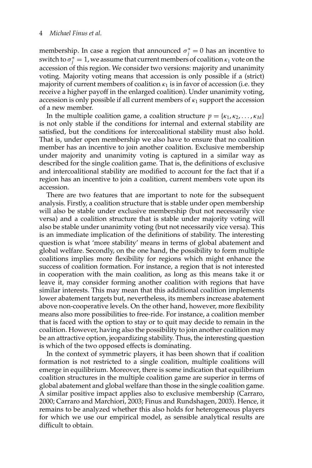### 4 *Michael Finus et al.*

membership. In case a region that announced  $\sigma_j^* = 0$  has an incentive to switch to  $\sigma_j^*=1$ , we assume that current members of coalition  $\kappa_1$  vote on the accession of this region. We consider two versions: majority and unanimity voting. Majority voting means that accession is only possible if a (strict) majority of current members of coalition  $\kappa_1$  is in favor of accession (i.e. they receive a higher payoff in the enlarged coalition). Under unanimity voting, accession is only possible if all current members of  $\kappa_1$  support the accession of a new member.

In the multiple coalition game, a coalition structure  $p = \{k_1, k_2, \ldots, k_M\}$ is not only stable if the conditions for internal and external stability are satisfied, but the conditions for intercoalitional stability must also hold. That is, under open membership we also have to ensure that no coalition member has an incentive to join another coalition. Exclusive membership under majority and unanimity voting is captured in a similar way as described for the single coalition game. That is, the definitions of exclusive and intercoalitional stability are modified to account for the fact that if a region has an incentive to join a coalition, current members vote upon its accession.

There are two features that are important to note for the subsequent analysis. Firstly, a coalition structure that is stable under open membership will also be stable under exclusive membership (but not necessarily vice versa) and a coalition structure that is stable under majority voting will also be stable under unanimity voting (but not necessarily vice versa). This is an immediate implication of the definitions of stability. The interesting question is what 'more stability' means in terms of global abatement and global welfare. Secondly, on the one hand, the possibility to form multiple coalitions implies more flexibility for regions which might enhance the success of coalition formation. For instance, a region that is not interested in cooperation with the main coalition, as long as this means take it or leave it, may consider forming another coalition with regions that have similar interests. This may mean that this additional coalition implements lower abatement targets but, nevertheless, its members increase abatement above non-cooperative levels. On the other hand, however, more flexibility means also more possibilities to free-ride. For instance, a coalition member that is faced with the option to stay or to quit may decide to remain in the coalition. However, having also the possibility to join another coalition may be an attractive option, jeopardizing stability. Thus, the interesting question is which of the two opposed effects is dominating.

In the context of symmetric players, it has been shown that if coalition formation is not restricted to a single coalition, multiple coalitions will emerge in equilibrium. Moreover, there is some indication that equilibrium coalition structures in the multiple coalition game are superior in terms of global abatement and global welfare than those in the single coalition game. A similar positive impact applies also to exclusive membership (Carraro, 2000; Carraro and Marchiori, 2003; Finus and Rundshagen, 2003). Hence, it remains to be analyzed whether this also holds for heterogeneous players for which we use our empirical model, as sensible analytical results are difficult to obtain.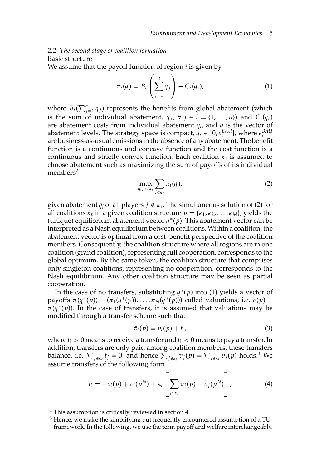*2.2 The second stage of coalition formation* Basic structure

We assume that the payoff function of region *i* is given by

$$
\pi_i(q) = B_i\left(\sum_{j=1}^n q_j\right) - C_i(q_i), \qquad (1)
$$

where  $B_i(\sum_{j=1}^n q_j)$  represents the benefits from global abatement (which is the sum of individual abatement,  $q_i$ ,  $\forall$   $j \in I = \{1, \ldots, n\}$  and  $C_i(q_i)$ are abatement costs from individual abatement  $q_i$ , and  $q$  is the vector of abatement levels. The strategy space is compact,  $q_i \in [0, e_i^{BAU}]$ , where  $e_i^{BAU}$ are business-as-usual emissions in the absence of any abatement. The benefit function is a continuous and concave function and the cost function is a continuous and strictly convex function. Each coalition  $\kappa_1$  is assumed to choose abatement such as maximizing the sum of payoffs of its individual  $members<sup>2</sup>$ 

$$
\max_{q_i, i \in \kappa_\ell} \sum_{i \in \kappa_\ell} \pi_i(q),\tag{2}
$$

given abatement  $q_i$  of all players  $j \notin \kappa_\ell$ . The simultaneous solution of (2) for all coalitions  $\kappa_{\ell}$  in a given coalition structure  $p = {\kappa_1, \kappa_2, ..., \kappa_M}$ , yields the (unique) equilibrium abatement vector *q* <sup>∗</sup>(*p*). This abatement vector can be interpreted as a Nash equilibrium between coalitions. Within a coalition, the abatement vector is optimal from a cost–benefit perspective of the coalition members. Consequently, the coalition structure where all regions are in one coalition (grand coalition), representing full cooperation, corresponds to the global optimum. By the same token, the coalition structure that comprises only singleton coalitions, representing no cooperation, corresponds to the Nash equilibrium. Any other coalition structure may be seen as partial cooperation.

In the case of no transfers, substituting  $q^*(p)$  into (1) yields a vector of payoffs  $\pi(q^*(p)) = (\pi_1(q^*(p)), \ldots, \pi_N(q^*(p)))$  called valuations, i.e.  $v(p) =$  $\pi(q^*(p))$ . In the case of transfers, it is assumed that valuations may be modified through a transfer scheme such that

$$
\hat{v}_i(p) = v_i(p) + t_i, \tag{3}
$$

where  $t_i > 0$  means to receive a transfer and  $t_i < 0$  means to pay a transfer. In addition, transfers are only paid among coalition members, these transfers balance, i.e.  $\sum_{j\in\kappa_\ell}t_j=0$ , and hence  $\sum_{j\in\kappa_\ell}v_j(p)=\sum_{j\in\kappa_\ell}\hat{v}_j(p)$  holds.<sup>3</sup> We assume transfers of the following form

$$
t_i = -v_i(p) + v_i(p^N) + \lambda_i \left[ \sum_{j \in \kappa_\ell} v_j(p) - v_j(p^N) \right], \tag{4}
$$

 $3$  Hence, we make the simplifying but frequently encountered assumption of a TUframework. In the following, we use the term payoff and welfare interchangeably.

<sup>2</sup> This assumption is critically reviewed in section 4.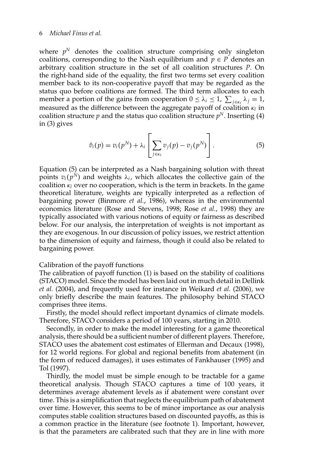### 6 *Michael Finus et al.*

where  $p<sup>N</sup>$  denotes the coalition structure comprising only singleton coalitions, corresponding to the Nash equilibrium and  $p \in P$  denotes an arbitrary coalition structure in the set of all coalition structures *P*. On the right-hand side of the equality, the first two terms set every coalition member back to its non-cooperative payoff that may be regarded as the status quo before coalitions are formed. The third term allocates to each member a portion of the gains from cooperation  $0 \leq \lambda_i \leq 1$ ,  $\sum_{j \in \kappa_\ell} \lambda_j = 1$ , measured as the difference between the aggregate payoff of coalition κ*<sup>l</sup>* in coalition structure *p* and the status quo coalition structure  $p<sup>N</sup>$ . Inserting (4) in (3) gives

$$
\hat{v}_i(p) = v_i(p^N) + \lambda_i \left[ \sum_{j \in \kappa_\ell} v_j(p) - v_j(p^N) \right]. \tag{5}
$$

Equation (5) can be interpreted as a Nash bargaining solution with threat points  $v_i(p^N)$  and weights  $\lambda_i$ , which allocates the collective gain of the coalition κ*<sup>l</sup>* over no cooperation, which is the term in brackets. In the game theoretical literature, weights are typically interpreted as a reflection of bargaining power (Binmore *et al.*, 1986), whereas in the environmental economics literature (Rose and Stevens, 1998; Rose *et al.*, 1998) they are typically associated with various notions of equity or fairness as described below. For our analysis, the interpretation of weights is not important as they are exogenous. In our discussion of policy issues, we restrict attention to the dimension of equity and fairness, though it could also be related to bargaining power.

## Calibration of the payoff functions

The calibration of payoff function (1) is based on the stability of coalitions (STACO) model. Since the model has been laid out in much detail in Dellink *et al.* (2004), and frequently used for instance in Weikard *et al.* (2006), we only briefly describe the main features. The philosophy behind STACO comprises three items.

Firstly, the model should reflect important dynamics of climate models. Therefore, STACO considers a period of 100 years, starting in 2010.

Secondly, in order to make the model interesting for a game theoretical analysis, there should be a sufficient number of different players. Therefore, STACO uses the abatement cost estimates of Ellerman and Decaux (1998), for 12 world regions. For global and regional benefits from abatement (in the form of reduced damages), it uses estimates of Fankhauser (1995) and Tol (1997).

Thirdly, the model must be simple enough to be tractable for a game theoretical analysis. Though STACO captures a time of 100 years, it determines average abatement levels as if abatement were constant over time. This is a simplification that neglects the equilibrium path of abatement over time. However, this seems to be of minor importance as our analysis computes stable coalition structures based on discounted payoffs, as this is a common practice in the literature (see footnote 1). Important, however, is that the parameters are calibrated such that they are in line with more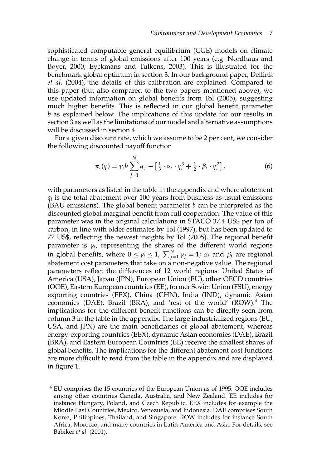sophisticated computable general equilibrium (CGE) models on climate change in terms of global emissions after 100 years (e.g. Nordhaus and Boyer, 2000; Eyckmans and Tulkens, 2003). This is illustrated for the benchmark global optimum in section 3. In our background paper, Dellink *et al.* (2004), the details of this calibration are explained. Compared to this paper (but also compared to the two papers mentioned above), we use updated information on global benefits from Tol (2005), suggesting much higher benefits. This is reflected in our global benefit parameter *b* as explained below. The implications of this update for our results in section 3 as well as the limitations of our model and alternative assumptions will be discussed in section 4.

For a given discount rate, which we assume to be 2 per cent, we consider the following discounted payoff function

$$
\pi_i(q) = \gamma_i b \sum_{j=1}^N q_j - \left[\frac{1}{3} \cdot \alpha_i \cdot q_i^3 + \frac{1}{2} \cdot \beta_i \cdot q_i^2\right],\tag{6}
$$

with parameters as listed in the table in the appendix and where abatement *qi* is the total abatement over 100 years from business-as-usual emissions (BAU emissions). The global benefit parameter *b* can be interpreted as the discounted global marginal benefit from full cooperation. The value of this parameter was in the original calculations in STACO 37.4 US\$ per ton of carbon, in line with older estimates by Tol (1997), but has been updated to 77 US\$, reflecting the newest insights by Tol (2005). The regional benefit parameter is  $\gamma_i$ , representing the shares of the different world regions in global benefits, where  $0 \leq \gamma_i \leq 1$ ,  $\sum_{j=1}^{N} \gamma_j = 1$ ;  $\alpha_i$  and  $\beta_i$  are regional abatement cost parameters that take on a non-negative value. The regional parameters reflect the differences of 12 world regions: United States of America (USA), Japan (JPN), European Union (EU), other OECD countries (OOE), Eastern European countries (EE), former Soviet Union (FSU), energy exporting countries (EEX), China (CHN), India (IND), dynamic Asian economies (DAE), Brazil (BRA), and 'rest of the world' (ROW). $4$  The implications for the different benefit functions can be directly seen from column 3 in the table in the appendix. The large industrialized regions (EU, USA, and JPN) are the main beneficiaries of global abatement, whereas energy-exporting countries (EEX), dynamic Asian economies (DAE), Brazil (BRA), and Eastern European Countries (EE) receive the smallest shares of global benefits. The implications for the different abatement cost functions are more difficult to read from the table in the appendix and are displayed in figure 1.

<sup>&</sup>lt;sup>4</sup> EU comprises the 15 countries of the European Union as of 1995. OOE includes among other countries Canada, Australia, and New Zealand. EE includes for instance Hungary, Poland, and Czech Republic. EEX includes for example the Middle East Countries, Mexico, Venezuela, and Indonesia. DAE comprises South Korea, Philippines, Thailand, and Singapore. ROW includes for instance South Africa, Morocco, and many countries in Latin America and Asia. For details, see Babiker *et al.* (2001).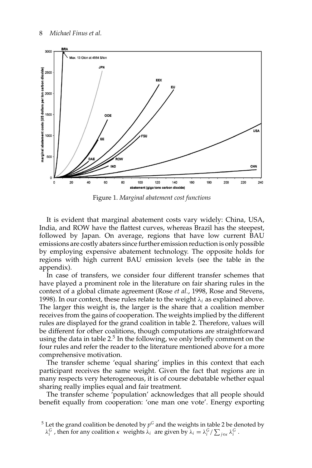

Figure 1. *Marginal abatement cost functions*

It is evident that marginal abatement costs vary widely: China, USA, India, and ROW have the flattest curves, whereas Brazil has the steepest, followed by Japan. On average, regions that have low current BAU emissions are costly abaters since further emission reduction is only possible by employing expensive abatement technology. The opposite holds for regions with high current BAU emission levels (see the table in the appendix).

In case of transfers, we consider four different transfer schemes that have played a prominent role in the literature on fair sharing rules in the context of a global climate agreement (Rose *et al.*, 1998, Rose and Stevens, 1998). In our context, these rules relate to the weight  $\lambda_i$  as explained above. The larger this weight is, the larger is the share that a coalition member receives from the gains of cooperation. The weights implied by the different rules are displayed for the grand coalition in table 2. Therefore, values will be different for other coalitions, though computations are straightforward using the data in table  $2<sup>5</sup>$  In the following, we only briefly comment on the four rules and refer the reader to the literature mentioned above for a more comprehensive motivation.

The transfer scheme 'equal sharing' implies in this context that each participant receives the same weight. Given the fact that regions are in many respects very heterogeneous, it is of course debatable whether equal sharing really implies equal and fair treatment.

The transfer scheme 'population' acknowledges that all people should benefit equally from cooperation: 'one man one vote'. Energy exporting

<sup>&</sup>lt;sup>5</sup> Let the grand coalition be denoted by  $p^G$  and the weights in table 2 be denoted by

 $λ_i^G$ , then for any coalition *κ* weights  $λ_i$  are given by  $λ_i = λ_i^G / \sum_{j \in k} λ_i^G$ .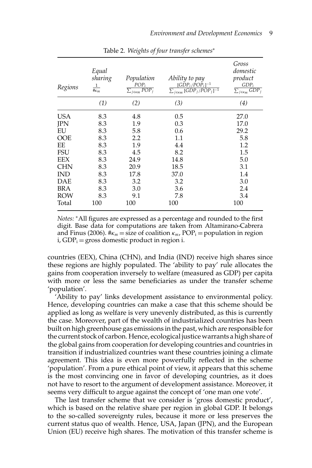| Regions    | Equal<br>sharing<br>$\frac{1}{\#_{K_m}}$ | Population<br>$\frac{POP_i}{\sum_{j \in \kappa_m} POP_j}$ | Ability to pay<br>$\frac{[G\check{D}P_i/\check{P}O\check{P}_i]^{-1}}{\sum_{j\in\kappa_m}[GDP_j/POP_j]^{-1}}$ | Gross<br>domestic<br>product<br>$GDP_i$<br>$\sum_{j \in \kappa_m} GDP_j$ |
|------------|------------------------------------------|-----------------------------------------------------------|--------------------------------------------------------------------------------------------------------------|--------------------------------------------------------------------------|
|            | (1)                                      | (2)                                                       | (3)                                                                                                          | (4)                                                                      |
| USA        | 8.3                                      | 4.8                                                       | 0.5                                                                                                          | 27.0                                                                     |
| JPN        | 8.3                                      | 1.9                                                       | 0.3                                                                                                          | 17.0                                                                     |
| EU         | 8.3                                      | 5.8                                                       | 0.6                                                                                                          | 29.2                                                                     |
| <b>OOE</b> | 8.3                                      | 2.2                                                       | $1.1\,$                                                                                                      | 5.8                                                                      |
| EЕ         | 8.3                                      | 1.9                                                       | 4.4                                                                                                          | 1.2                                                                      |
| FSU        | 8.3                                      | 4.5                                                       | 8.2                                                                                                          | 1.5                                                                      |
| <b>EEX</b> | 8.3                                      | 24.9                                                      | 14.8                                                                                                         | 5.0                                                                      |
| <b>CHN</b> | 8.3                                      | 20.9                                                      | 18.5                                                                                                         | 3.1                                                                      |
| IND        | 8.3                                      | 17.8                                                      | 37.0                                                                                                         | 1.4                                                                      |
| DAE        | 8.3                                      | 3.2                                                       | 3.2                                                                                                          | 3.0                                                                      |
| <b>BRA</b> | 8.3                                      | 3.0                                                       | 3.6                                                                                                          | 2.4                                                                      |
| ROW        | 8.3                                      | 9.1                                                       | 7.8                                                                                                          | 3.4                                                                      |
| Total      | 100                                      | 100                                                       | 100                                                                                                          | 100                                                                      |

Table 2. *Weights of four transfer schemes*<sup>∗</sup>

*Notes:* <sup>∗</sup>All figures are expressed as a percentage and rounded to the first digit. Base data for computations are taken from Altamirano-Cabrera and Finus (2006).  $\#\kappa_m = \text{size of coalition } \kappa_m$ ,  $\text{POP}_i = \text{population in region}$  $i$ , GDP<sub>i</sub> = gross domestic product in region i.

countries (EEX), China (CHN), and India (IND) receive high shares since these regions are highly populated. The 'ability to pay' rule allocates the gains from cooperation inversely to welfare (measured as GDP) per capita with more or less the same beneficiaries as under the transfer scheme 'population'.

'Ability to pay' links development assistance to environmental policy. Hence, developing countries can make a case that this scheme should be applied as long as welfare is very unevenly distributed, as this is currently the case. Moreover, part of the wealth of industrialized countries has been built on high greenhouse gas emissions in the past, which are responsible for the current stock of carbon. Hence, ecological justice warrants a high share of the global gains from cooperation for developing countries and countries in transition if industrialized countries want these countries joining a climate agreement. This idea is even more powerfully reflected in the scheme 'population'. From a pure ethical point of view, it appears that this scheme is the most convincing one in favor of developing countries, as it does not have to resort to the argument of development assistance. Moreover, it seems very difficult to argue against the concept of 'one man one vote'.

The last transfer scheme that we consider is 'gross domestic product', which is based on the relative share per region in global GDP. It belongs to the so-called sovereignty rules, because it more or less preserves the current status quo of wealth. Hence, USA, Japan (JPN), and the European Union (EU) receive high shares. The motivation of this transfer scheme is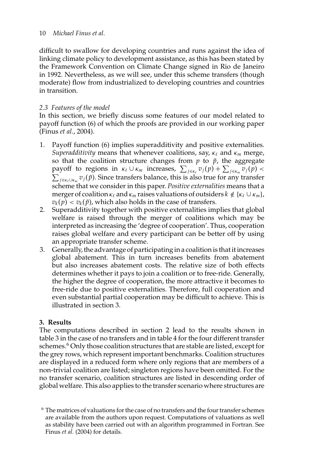difficult to swallow for developing countries and runs against the idea of linking climate policy to development assistance, as this has been stated by the Framework Convention on Climate Change signed in Rio de Janeiro in 1992. Nevertheless, as we will see, under this scheme transfers (though moderate) flow from industrialized to developing countries and countries in transition.

# *2.3 Features of the model*

In this section, we briefly discuss some features of our model related to payoff function (6) of which the proofs are provided in our working paper (Finus *et al.*, 2004).

- 1. Payoff function (6) implies superadditivity and positive externalities. *Superadditivity* means that whenever coalitions, say,  $κ_\ell$  and  $κ_m$  merge, so that the coalition structure changes from  $p$  to  $\tilde{p}$ , the aggregate payoff to regions in  $\kappa_{\ell} \cup \kappa_m$  increases,  $\sum_{j \in \kappa_{\ell}} v_j(p) + \sum_{j \in \kappa_m} v_j(p)$ *payoff* to regions in  $\kappa_{\ell} \cup \kappa_m$  increases,  $\sum_{j \in \kappa_{\ell}} v_j(p) + \sum_{j \in \kappa_m} v_j(p) < \sum_{j \in \kappa_{\ell} \cup \kappa_m} v_j(\tilde{p})$ . Since transfers balance, this is also true for any transfer scheme that we consider in this paper. *Positive externalities* means that a merger of coalition  $\kappa_{\ell}$  and  $\kappa_m$  raises valuations of outsiders  $k \notin {\kappa_{\ell} \cup \kappa_m}$ ,  $v_k(p) < v_k(\tilde{p})$ , which also holds in the case of transfers.
- 2. Superadditivity together with positive externalities implies that global welfare is raised through the merger of coalitions which may be interpreted as increasing the 'degree of cooperation'. Thus, cooperation raises global welfare and every participant can be better off by using an appropriate transfer scheme.
- 3. Generally, the advantage of participating in a coalition is that it increases global abatement. This in turn increases benefits from abatement but also increases abatement costs. The relative size of both effects determines whether it pays to join a coalition or to free-ride. Generally, the higher the degree of cooperation, the more attractive it becomes to free-ride due to positive externalities. Therefore, full cooperation and even substantial partial cooperation may be difficult to achieve. This is illustrated in section 3.

# **3. Results**

The computations described in section 2 lead to the results shown in table 3 in the case of no transfers and in table 4 for the four different transfer schemes.<sup>6</sup> Only those coalition structures that are stable are listed, except for the grey rows, which represent important benchmarks. Coalition structures are displayed in a reduced form where only regions that are members of a non-trivial coalition are listed; singleton regions have been omitted. For the no transfer scenario, coalition structures are listed in descending order of global welfare. This also applies to the transfer scenario where structures are

 $6\sigma$  The matrices of valuations for the case of no transfers and the four transfer schemes are available from the authors upon request. Computations of valuations as well as stability have been carried out with an algorithm programmed in Fortran. See Finus *et al.* (2004) for details.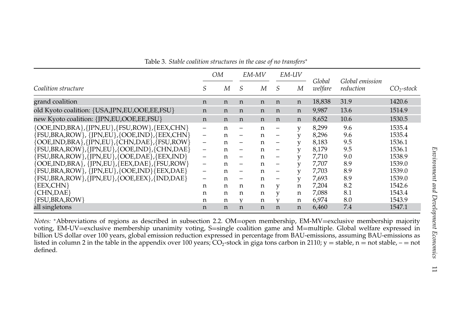|                                               |             | OM          | EM-MV<br>EM-UV           |   |                          |             |                   |                              |               |
|-----------------------------------------------|-------------|-------------|--------------------------|---|--------------------------|-------------|-------------------|------------------------------|---------------|
| <i>Coalition structure</i>                    |             | M           | S                        | М | S                        | М           | Global<br>welfare | Global emission<br>reduction | $CO2 - stock$ |
| grand coalition                               | n           | $\mathbf n$ | n                        | n | n                        | $\mathbf n$ | 18,838            | 31.9                         | 1420.6        |
| old Kyoto coalition: {USA,JPN,EU,OOE,EE,FSU}  | $\mathbf n$ | n           | $\mathbf n$              | n | n                        | n           | 9,987             | 13.6                         | 1514.9        |
| new Kyoto coalition: {JPN,EU,OOE,EE,FSU}      | n           | $\mathbf n$ | n                        | n | n                        | n           | 8,652             | 10.6                         | 1530.5        |
| {OOE,IND,BRA}, {JPN,EU}, {FSU,ROW}, {EEX,CHN} | -           | n           | $\qquad \qquad -$        | n | $\overline{\phantom{0}}$ | v           | 8,299             | 9.6                          | 1535.4        |
| {FSU,BRA,ROW}, {JPN,EU}, {OOE,IND}, {EEX,CHN} | -           | n           | $\qquad \qquad -$        | n | -                        |             | 8.296             | 9.6                          | 1535.4        |
| [OOE,IND,BRA}, {JPN,EU}, {CHN,DAE}, {FSU,ROW} | -           | n           | $\qquad \qquad -$        | n |                          |             | 8,183             | 9.5                          | 1536.1        |
| {FSU,BRA,ROW}, {JPN,EU}, {OOE,IND}, {CHN,DAE} | -           | n           | $\overline{\phantom{m}}$ | n | -                        |             | 8.179             | 9.5                          | 1536.1        |
| [FSU,BRA,ROW},{JPN,EU},{OOE,DAE},{EEX,IND}    | -           | n           | $\overline{\phantom{m}}$ | n | -                        |             | 7.710             | 9.0                          | 1538.9        |
| [OOE,IND,BRA}, {JPN,EU},{EEX,DAE},{FSU,ROW}   | -           | n           | $\qquad \qquad -$        | n |                          |             | 7,707             | 8.9                          | 1539.0        |
| {FSU,BRA,ROW}, {JPN,EU},{OOE,IND}{EEX,DAE}    |             | n           | $\qquad \qquad -$        | n |                          |             | 7,703             | 8.9                          | 1539.0        |
| {FSU,BRA,ROW},{JPN,EU},{OOE,EEX},{IND,DAE}    |             | n           | $\qquad \qquad -$        | n |                          |             | 7,693             | 8.9                          | 1539.0        |
| {EEX,CHN}                                     | n           | n           | n                        | n | V                        | n           | 7,204             | 8.2                          | 1542.6        |
| (CHN,DAE)                                     | n           | n           | n                        | n |                          | n           | 7,088             | 8.1                          | 1543.4        |
| {FSU,BRA,ROW}                                 | n           | n           | V                        | n |                          | n           | 6.974             | 8.0                          | 1543.9        |
| all singletons                                | n           | n           | n                        | n | n                        | n           | 6.460             | 7.4                          | 1547.1        |

Table 3. *Stable coalition structures in the case of no transfers*<sup>∗</sup>

*Notes:* <sup>∗</sup>Abbreviations of regions as described in subsection 2.2. OM=open membership, EM-MV=exclusive membership majority voting, EM-UV=exclusive membership unanimity voting, S=single coalition game and M=multiple. Global welfare expressed in billion US dollar over 100 years, global emission reduction expressed in percentage from BAU-emissions, assuming BAU-emissions as listed in column 2 in the table in the appendix over 100 years; CO<sub>2</sub>-stock in giga tons carbon in 2110; y = stable, n = not stable, - = not defined.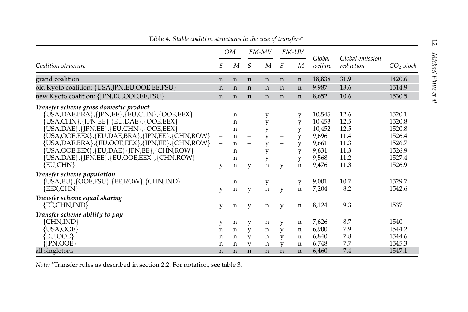| Table 4. Stable coalition structures in the case of transfers $^*$ |                          |              |                   |             |                   |             |                   |                              |               |
|--------------------------------------------------------------------|--------------------------|--------------|-------------------|-------------|-------------------|-------------|-------------------|------------------------------|---------------|
|                                                                    |                          | OM           |                   | EM-MV       |                   | EM-UV       |                   |                              |               |
| Coalition structure                                                | S                        | М            | S                 | М           | S<br>M            |             | Global<br>welfare | Global emission<br>reduction | $CO2 - stock$ |
| grand coalition                                                    | $\mathbf n$              | $\mathbf n$  | $\mathbf n$       | $\mathbf n$ | $\mathbf n$       | $\mathbf n$ | 18,838            | 31.9                         | 1420.6        |
| old Kyoto coalition: {USA,JPN,EU,OOE,EE,FSU}                       | $\mathbf n$              | $\mathsf{n}$ | $\mathbf n$       | $\mathbf n$ | $\mathbf n$       | $\mathbf n$ | 9,987             | 13.6                         | 1514.9        |
| new Kyoto coalition: {JPN,EU,OOE,EE,FSU}                           | $\mathbf n$              | $\mathbf n$  | $\mathbf n$       | $\mathbf n$ | $\mathbf n$       | $\mathbf n$ | 8,652             | 10.6                         | 1530.5        |
| Transfer scheme gross domestic product                             |                          |              |                   |             |                   |             |                   |                              |               |
| $\{USA,DAE,BRA\}, \{JPN, EE\}, \{EU,CHN\}, \{OOE,EEX\}$            |                          | n            |                   | y           | -                 | y           | 10,545            | 12.6                         | 1520.1        |
| (USA,CHN}, {JPN,EE}, {EU,DAE}, {OOE,EEX}                           |                          | n            |                   | y           |                   | y           | 10,453            | 12.5                         | 1520.8        |
| $\{USA,DAE\}$ , $\{JPN,EE\}$ , $\{EU,CHN\}$ , $\{OOE,EEX\}$        |                          | n            | $\qquad \qquad -$ | y           | —                 | y           | 10,452            | 12.5                         | 1520.8        |
| USA,OOE,EEX},{EU,DAE,BRA},{JPN,EE},{CHN,ROW}                       | $\overline{\phantom{m}}$ | n            | $\qquad \qquad -$ | y           |                   | y           | 9,696             | 11.4                         | 1526.4        |
| $\{USA,DAE, BRA\}, \{EU, OOE, EEX\}, \{JPN, EE\}, \{CHN, ROW\}$    | $\overline{\phantom{m}}$ | n            | $\qquad \qquad -$ | y           | -                 | y           | 9,661             | 11.3                         | 1526.7        |
| [USA,OOE,EEX}, {EU,DAE} {JPN,EE}, {CHN,ROW}                        |                          | n            | $\qquad \qquad -$ | y           | $\qquad \qquad -$ | y           | 9,631             | 11.3                         | 1526.9        |
| {USA,DAE},{JPN,EE},{EU,OOE,EEX},{CHN,ROW}                          | -                        | n            | -                 | y           | -                 | y           | 9,568             | 11.2                         | 1527.4        |
| EU,CHN                                                             | y                        | n            | y                 | n           | y                 | n           | 9,476             | 11.3                         | 1526.9        |
| Transfer scheme population                                         |                          |              |                   |             |                   |             |                   |                              |               |
| {USA,EU}, {OOE, FSU}, {EE, ROW}, {CHN, IND}                        |                          | n            |                   | y           |                   | y           | 9,001             | 10.7                         | 1529.7        |
| {EEX,CHN}                                                          | y                        | n            | y                 | $\mathbf n$ | y                 | n           | 7,204             | 8.2                          | 1542.6        |
| Transfer scheme equal sharing                                      |                          |              |                   |             |                   |             |                   |                              |               |
| {EE,CHN, IND}                                                      | y                        | n            | y                 | n           | y                 | n           | 8,124             | 9.3                          | 1537          |
| Transfer scheme ability to pay                                     |                          |              |                   |             |                   |             |                   |                              |               |
| ${CHN, IND}$                                                       | y                        | n            | y                 | n           | y                 | n           | 7,626             | 8.7                          | 1540          |
| [USA,OOE]                                                          | n                        | n            | y                 | n           | y                 | n           | 6,900             | 7.9                          | 1544.2        |
| {EU,OOE}                                                           | n                        | n            | y                 | n           | y                 | n           | 6,840             | 7.8                          | 1544.6        |
| $\{JPN, OOE\}$                                                     | n                        | n            | V                 | n           | V                 | n           | 6,748             | 7.7                          | 1545.3        |
| all singletons                                                     | $\mathbf n$              | $\mathbf n$  | $\mathbf n$       | n           | $\mathbf n$       | n           | 6,460             | 7.4                          | 1547.1        |
|                                                                    |                          |              |                   |             |                   |             |                   |                              |               |

*Note:* <sup>∗</sup>Transfer rules as described in section 2.2. For notation, see table 3.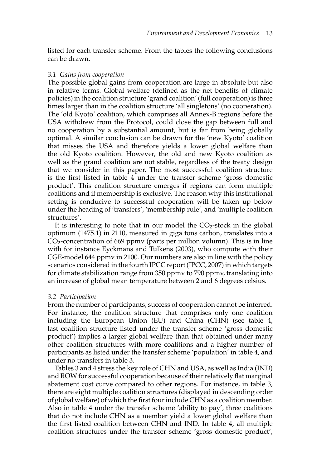listed for each transfer scheme. From the tables the following conclusions can be drawn.

#### *3.1 Gains from cooperation*

The possible global gains from cooperation are large in absolute but also in relative terms. Global welfare (defined as the net benefits of climate policies) in the coalition structure 'grand coalition' (full cooperation) is three times larger than in the coalition structure 'all singletons' (no cooperation). The 'old Kyoto' coalition, which comprises all Annex-B regions before the USA withdrew from the Protocol, could close the gap between full and no cooperation by a substantial amount, but is far from being globally optimal. A similar conclusion can be drawn for the 'new Kyoto' coalition that misses the USA and therefore yields a lower global welfare than the old Kyoto coalition. However, the old and new Kyoto coalition as well as the grand coalition are not stable, regardless of the treaty design that we consider in this paper. The most successful coalition structure is the first listed in table 4 under the transfer scheme 'gross domestic product'. This coalition structure emerges if regions can form multiple coalitions and if membership is exclusive. The reason why this institutional setting is conducive to successful cooperation will be taken up below under the heading of 'transfers', 'membership rule', and 'multiple coalition structures'.

It is interesting to note that in our model the  $CO<sub>2</sub>$ -stock in the global optimum (1475.1) in 2110, measured in giga tons carbon, translates into a  $CO<sub>2</sub>$ -concentration of 669 ppmv (parts per million volumn). This is in line with for instance Eyckmans and Tulkens (2003), who compute with their CGE-model 644 ppmv in 2100. Our numbers are also in line with the policy scenarios considered in the fourth IPCC report (IPCC, 2007) in which targets for climate stabilization range from 350 ppmv to 790 ppmv, translating into an increase of global mean temperature between 2 and 6 degrees celsius.

#### *3.2 Participation*

From the number of participants, success of cooperation cannot be inferred. For instance, the coalition structure that comprises only one coalition including the European Union (EU) and China (CHN) (see table 4, last coalition structure listed under the transfer scheme 'gross domestic product') implies a larger global welfare than that obtained under many other coalition structures with more coalitions and a higher number of participants as listed under the transfer scheme 'population' in table 4, and under no transfers in table 3.

Tables 3 and 4 stress the key role of CHN and USA, as well as India (IND) and ROW for successful cooperation because of their relatively flat marginal abatement cost curve compared to other regions. For instance, in table 3, there are eight multiple coalition structures (displayed in descending order of global welfare) of which the first four include CHN as a coalition member. Also in table 4 under the transfer scheme 'ability to pay', three coalitions that do not include CHN as a member yield a lower global welfare than the first listed coalition between CHN and IND. In table 4, all multiple coalition structures under the transfer scheme 'gross domestic product',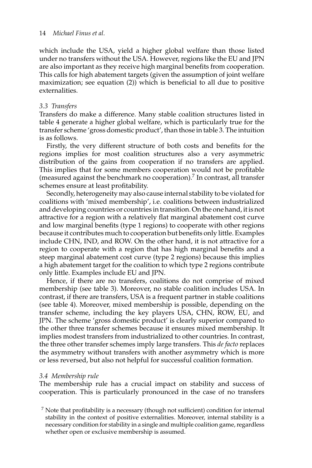which include the USA, yield a higher global welfare than those listed under no transfers without the USA. However, regions like the EU and JPN are also important as they receive high marginal benefits from cooperation. This calls for high abatement targets (given the assumption of joint welfare maximization; see equation (2)) which is beneficial to all due to positive externalities.

## *3.3 Transfers*

Transfers do make a difference. Many stable coalition structures listed in table 4 generate a higher global welfare, which is particularly true for the transfer scheme 'gross domestic product', than those in table 3. The intuition is as follows.

Firstly, the very different structure of both costs and benefits for the regions implies for most coalition structures also a very asymmetric distribution of the gains from cooperation if no transfers are applied. This implies that for some members cooperation would not be profitable (measured against the benchmark no cooperation).<sup>7</sup> In contrast, all transfer schemes ensure at least profitability.

Secondly, heterogeneity may also cause internal stability to be violated for coalitions with 'mixed membership', i.e. coalitions between industrialized and developing countries or countries in transition. On the one hand, it is not attractive for a region with a relatively flat marginal abatement cost curve and low marginal benefits (type 1 regions) to cooperate with other regions because it contributes much to cooperation but benefits only little. Examples include CHN, IND, and ROW. On the other hand, it is not attractive for a region to cooperate with a region that has high marginal benefits and a steep marginal abatement cost curve (type 2 regions) because this implies a high abatement target for the coalition to which type 2 regions contribute only little. Examples include EU and JPN.

Hence, if there are no transfers, coalitions do not comprise of mixed membership (see table 3). Moreover, no stable coalition includes USA. In contrast, if there are transfers, USA is a frequent partner in stable coalitions (see table 4). Moreover, mixed membership is possible, depending on the transfer scheme, including the key players USA, CHN, ROW, EU, and JPN. The scheme 'gross domestic product' is clearly superior compared to the other three transfer schemes because it ensures mixed membership. It implies modest transfers from industrialized to other countries. In contrast, the three other transfer schemes imply large transfers. This *de facto* replaces the asymmetry without transfers with another asymmetry which is more or less reversed, but also not helpful for successful coalition formation.

## *3.4 Membership rule*

The membership rule has a crucial impact on stability and success of cooperation. This is particularly pronounced in the case of no transfers

 $<sup>7</sup>$  Note that profitability is a necessary (though not sufficient) condition for internal</sup> stability in the context of positive externalities. Moreover, internal stability is a necessary condition for stability in a single and multiple coalition game, regardless whether open or exclusive membership is assumed.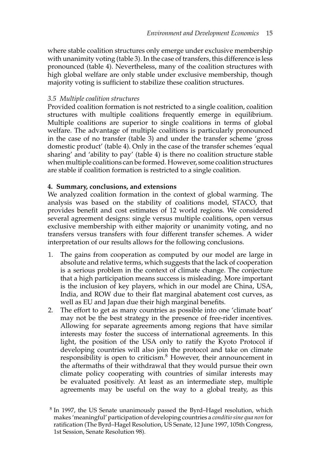where stable coalition structures only emerge under exclusive membership with unanimity voting (table 3). In the case of transfers, this difference is less pronounced (table 4). Nevertheless, many of the coalition structures with high global welfare are only stable under exclusive membership, though majority voting is sufficient to stabilize these coalition structures.

## *3.5 Multiple coalition structures*

Provided coalition formation is not restricted to a single coalition, coalition structures with multiple coalitions frequently emerge in equilibrium. Multiple coalitions are superior to single coalitions in terms of global welfare. The advantage of multiple coalitions is particularly pronounced in the case of no transfer (table 3) and under the transfer scheme 'gross domestic product' (table 4). Only in the case of the transfer schemes 'equal sharing' and 'ability to pay' (table 4) is there no coalition structure stable when multiple coalitions can be formed. However, some coalition structures are stable if coalition formation is restricted to a single coalition.

## **4. Summary, conclusions, and extensions**

We analyzed coalition formation in the context of global warming. The analysis was based on the stability of coalitions model, STACO, that provides benefit and cost estimates of 12 world regions. We considered several agreement designs: single versus multiple coalitions, open versus exclusive membership with either majority or unanimity voting, and no transfers versus transfers with four different transfer schemes. A wider interpretation of our results allows for the following conclusions.

- 1. The gains from cooperation as computed by our model are large in absolute and relative terms, which suggests that the lack of cooperation is a serious problem in the context of climate change. The conjecture that a high participation means success is misleading. More important is the inclusion of key players, which in our model are China, USA, India, and ROW due to their flat marginal abatement cost curves, as well as EU and Japan due their high marginal benefits.
- 2. The effort to get as many countries as possible into one 'climate boat' may not be the best strategy in the presence of free-rider incentives. Allowing for separate agreements among regions that have similar interests may foster the success of international agreements. In this light, the position of the USA only to ratify the Kyoto Protocol if developing countries will also join the protocol and take on climate responsibility is open to criticism.8 However, their announcement in the aftermaths of their withdrawal that they would pursue their own climate policy cooperating with countries of similar interests may be evaluated positively. At least as an intermediate step, multiple agreements may be useful on the way to a global treaty, as this

<sup>&</sup>lt;sup>8</sup> In 1997, the US Senate unanimously passed the Byrd–Hagel resolution, which makes 'meaningful' participation of developing countries a *conditio sine qua non* for ratification (The Byrd–Hagel Resolution, US Senate, 12 June 1997, 105th Congress, 1st Session, Senate Resolution 98).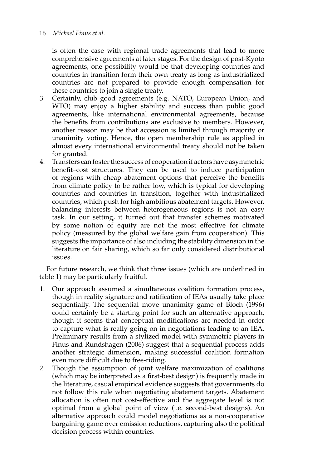is often the case with regional trade agreements that lead to more comprehensive agreements at later stages. For the design of post-Kyoto agreements, one possibility would be that developing countries and countries in transition form their own treaty as long as industrialized countries are not prepared to provide enough compensation for these countries to join a single treaty.

- 3. Certainly, club good agreements (e.g. NATO, European Union, and WTO) may enjoy a higher stability and success than public good agreements, like international environmental agreements, because the benefits from contributions are exclusive to members. However, another reason may be that accession is limited through majority or unanimity voting. Hence, the open membership rule as applied in almost every international environmental treaty should not be taken for granted.
- 4. Transfers can foster the success of cooperation if actors have asymmetric benefit–cost structures. They can be used to induce participation of regions with cheap abatement options that perceive the benefits from climate policy to be rather low, which is typical for developing countries and countries in transition, together with industrialized countries, which push for high ambitious abatement targets. However, balancing interests between heterogeneous regions is not an easy task. In our setting, it turned out that transfer schemes motivated by some notion of equity are not the most effective for climate policy (measured by the global welfare gain from cooperation). This suggests the importance of also including the stability dimension in the literature on fair sharing, which so far only considered distributional issues.

For future research, we think that three issues (which are underlined in table 1) may be particularly fruitful.

- 1. Our approach assumed a simultaneous coalition formation process, though in reality signature and ratification of IEAs usually take place sequentially. The sequential move unanimity game of Bloch (1996) could certainly be a starting point for such an alternative approach, though it seems that conceptual modifications are needed in order to capture what is really going on in negotiations leading to an IEA. Preliminary results from a stylized model with symmetric players in Finus and Rundshagen (2006) suggest that a sequential process adds another strategic dimension, making successful coalition formation even more difficult due to free-riding.
- 2. Though the assumption of joint welfare maximization of coalitions (which may be interpreted as a first-best design) is frequently made in the literature, casual empirical evidence suggests that governments do not follow this rule when negotiating abatement targets. Abatement allocation is often not cost-effective and the aggregate level is not optimal from a global point of view (i.e. second-best designs). An alternative approach could model negotiations as a non-cooperative bargaining game over emission reductions, capturing also the political decision process within countries.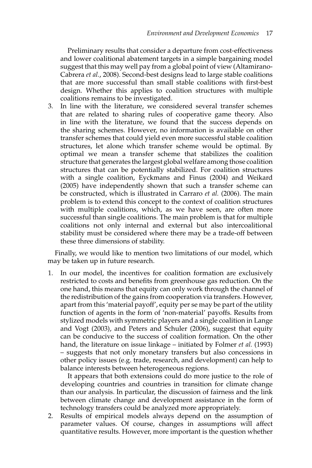Preliminary results that consider a departure from cost-effectiveness and lower coalitional abatement targets in a simple bargaining model suggest that this may well pay from a global point of view (Altamirano-Cabrera *et al.*, 2008). Second-best designs lead to large stable coalitions that are more successful than small stable coalitions with first-best design. Whether this applies to coalition structures with multiple coalitions remains to be investigated.

3. In line with the literature, we considered several transfer schemes that are related to sharing rules of cooperative game theory. Also in line with the literature, we found that the success depends on the sharing schemes. However, no information is available on other transfer schemes that could yield even more successful stable coalition structures, let alone which transfer scheme would be optimal. By optimal we mean a transfer scheme that stabilizes the coalition structure that generates the largest global welfare among those coalition structures that can be potentially stabilized. For coalition structures with a single coalition, Eyckmans and Finus (2004) and Weikard (2005) have independently shown that such a transfer scheme can be constructed, which is illustrated in Carraro *et al.* (2006). The main problem is to extend this concept to the context of coalition structures with multiple coalitions, which, as we have seen, are often more successful than single coalitions. The main problem is that for multiple coalitions not only internal and external but also intercoalitional stability must be considered where there may be a trade-off between these three dimensions of stability.

Finally, we would like to mention two limitations of our model, which may be taken up in future research.

1. In our model, the incentives for coalition formation are exclusively restricted to costs and benefits from greenhouse gas reduction. On the one hand, this means that equity can only work through the channel of the redistribution of the gains from cooperation via transfers. However, apart from this 'material payoff', equity per se may be part of the utility function of agents in the form of 'non-material' payoffs. Results from stylized models with symmetric players and a single coalition in Lange and Vogt (2003), and Peters and Schuler (2006), suggest that equity can be conducive to the success of coalition formation. On the other hand, the literature on issue linkage – initiated by Folmer *et al.* (1993) – suggests that not only monetary transfers but also concessions in other policy issues (e.g. trade, research, and development) can help to balance interests between heterogeneous regions.

It appears that both extensions could do more justice to the role of developing countries and countries in transition for climate change than our analysis. In particular, the discussion of fairness and the link between climate change and development assistance in the form of technology transfers could be analyzed more appropriately.

2. Results of empirical models always depend on the assumption of parameter values. Of course, changes in assumptions will affect quantitative results. However, more important is the question whether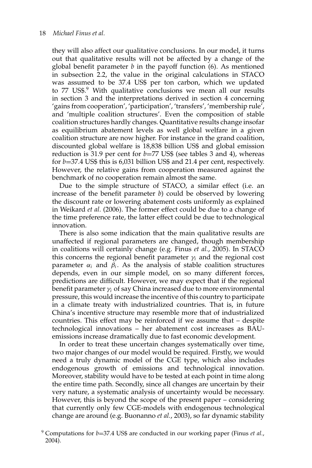they will also affect our qualitative conclusions. In our model, it turns out that qualitative results will not be affected by a change of the global benefit parameter *b* in the payoff function (6). As mentioned in subsection 2.2, the value in the original calculations in STACO was assumed to be 37.4 US\$ per ton carbon, which we updated to 77 US\$.<sup>9</sup> With qualitative conclusions we mean all our results in section 3 and the interpretations derived in section 4 concerning 'gains from cooperation', 'participation', 'transfers', 'membership rule', and 'multiple coalition structures'. Even the composition of stable coalition structures hardly changes. Quantitative results change insofar as equilibrium abatement levels as well global welfare in a given coalition structure are now higher. For instance in the grand coalition, discounted global welfare is 18,838 billion US\$ and global emission reduction is 31.9 per cent for  $b=77$  US\$ (see tables 3 and 4), whereas for *b*=37.4 US\$ this is 6,031 billion US\$ and 21.4 per cent, respectively. However, the relative gains from cooperation measured against the benchmark of no cooperation remain almost the same.

Due to the simple structure of STACO, a similar effect (i.e. an increase of the benefit parameter *b*) could be observed by lowering the discount rate or lowering abatement costs uniformly as explained in Weikard *et al.* (2006). The former effect could be due to a change of the time preference rate, the latter effect could be due to technological innovation.

There is also some indication that the main qualitative results are unaffected if regional parameters are changed, though membership in coalitions will certainly change (e.g. Finus *et al.*, 2005). In STACO this concerns the regional benefit parameter  $\gamma_i$  and the regional cost parameter  $\alpha_i$  and  $\beta_i$ . As the analysis of stable coalition structures depends, even in our simple model, on so many different forces, predictions are difficult. However, we may expect that if the regional benefit parameter  $\gamma_i$  of say China increased due to more environmental pressure, this would increase the incentive of this country to participate in a climate treaty with industrialized countries. That is, in future China's incentive structure may resemble more that of industrialized countries. This effect may be reinforced if we assume that – despite technological innovations – her abatement cost increases as BAUemissions increase dramatically due to fast economic development.

In order to treat these uncertain changes systematically over time, two major changes of our model would be required. Firstly, we would need a truly dynamic model of the CGE type, which also includes endogenous growth of emissions and technological innovation. Moreover, stability would have to be tested at each point in time along the entire time path. Secondly, since all changes are uncertain by their very nature, a systematic analysis of uncertainty would be necessary. However, this is beyond the scope of the present paper – considering that currently only few CGE-models with endogenous technological change are around (e.g. Buonanno *et al.*, 2003), so far dynamic stability

<sup>9</sup> Computations for *b*=37.4 US\$ are conducted in our working paper (Finus *et al.*, 2004).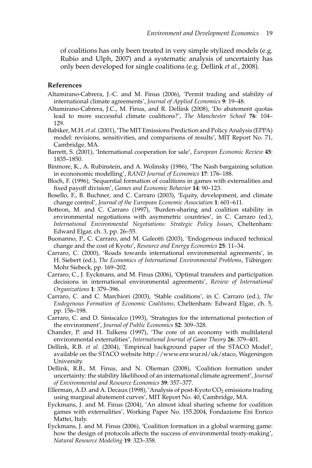of coalitions has only been treated in very simple stylized models (e.g. Rubio and Ulph, 2007) and a systematic analysis of uncertainty has only been developed for single coalitions (e.g. Dellink *et al.*, 2008).

## **References**

- Altamirano-Cabrera, J.-C. and M. Finus (2006), 'Permit trading and stability of international climate agreements', *Journal of Applied Economics* **9**: 19–48.
- Altamirano-Cabrera, J.C., M. Finus, and R. Dellink (2008), 'Do abatement quotas lead to more successful climate coalitions?', *The Manchester School* **76**: 104– 129.
- Babiker, M.H.*et al.*(2001), 'The MIT Emissions Prediction and Policy Analysis (EPPA) model: revisions, sensitivities, and comparisons of results', MIT Report No. 71, Cambridge, MA.
- Barrett, S. (2001), 'International cooperation for sale', *European Economic Review* **45**: 1835–1850.
- Binmore, K., A. Rubinstein, and A. Wolinsky (1986), 'The Nash bargaining solution in econonomic modelling', *RAND Journal of Economics* **17**: 176–188.
- Bloch, F. (1996), 'Sequential formation of coalitions in games with externalities and fixed payoff division', *Games and Economic Behavior* **14**: 90–123.
- Bosello, F., B. Buchner, and C. Carraro (2003), 'Equity, development, and climate change control', *Journal of the European Economic Association* **1**: 601–611.
- Botteon, M. and C. Carraro (1997), 'Burden-sharing and coalition stability in environmental negotiations with asymmetric countries', in C. Carraro (ed.), *International Environmental Negotiations: Strategic Policy Issues*, Cheltenham: Edward Elgar, ch. 3, pp. 26–55.
- Buonanno, P., C. Carraro, and M. Galeotti (2003), 'Endogenous induced technical change and the cost of Kyoto', *Resource and Energy Economics* **25**: 11–34.
- Carraro, C. (2000), 'Roads towards international environmental agreements', in H. Siebert (ed.), *The Economics of International Environmental Problems*, Tubingen: ¨ Mohr Siebeck, pp. 169–202.
- Carraro, C., J. Eyckmans, and M. Finus (2006), 'Optimal transfers and participation decisions in international environmental agreements', *Review of International Organizations* **1**: 379–396.
- Carraro, C. and C. Marchiori (2003), 'Stable coalitions', in C. Carraro (ed.), *The Endogenous Formation of Economic Coalitions*, Cheltenham: Edward Elgar, ch. 5, pp. 156–198.
- Carraro, C. and D. Siniscalco (1993), 'Strategies for the international protection of the environment', *Journal of Public Economics* **52**: 309–328.
- Chander, P. and H. Tulkens (1997), 'The core of an economy with multilateral environmental externalities', *International Journal of Game Theory* **26**: 379–401.
- Dellink, R.B. *et al.* (2004), 'Empirical background paper of the STACO Model', available on the STACO website http://www.enr.wur.nl/uk/staco, Wageningen University.
- Dellink, R.B., M. Finus, and N. Olieman (2008), 'Coalition formation under uncertainty: the stability likelihood of an international climate agreement', *Journal of Environmental and Resource Economics* **39**: 357–377.
- Ellerman, A.D. and A. Decaux (1998), 'Analysis of post-Kyoto  $CO<sub>2</sub>$  emissions trading using marginal abatement curves', MIT Report No. 40, Cambridge, MA.
- Eyckmans, J. and M. Finus (2004), 'An almost ideal sharing scheme for coalition games with externalities', Working Paper No. 155.2004, Fondazione Eni Enrico Mattei, Italy.
- Eyckmans, J. and M. Finus (2006), 'Coalition formation in a global warming game: how the design of protocols affects the success of environmental treaty-making', *Natural Resource Modeling* **19**: 323–358.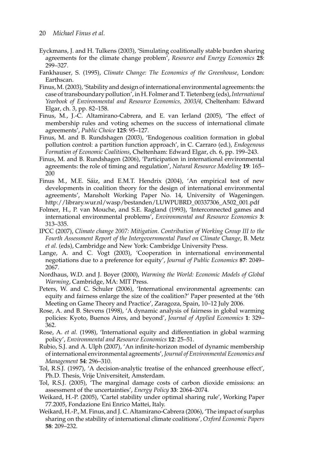- Eyckmans, J. and H. Tulkens (2003), 'Simulating coalitionally stable burden sharing agreements for the climate change problem', *Resource and Energy Economics* **25**: 299–327.
- Fankhauser, S. (1995), *Climate Change: The Economics of the Greenhouse*, London: Earthscan.
- Finus, M. (2003), 'Stability and design of international environmental agreements: the case of transboundary pollution', in H. Folmer and T. Tietenberg (eds),*International Yearbook of Environmental and Resource Economics, 2003/4*, Cheltenham: Edward Elgar, ch. 3, pp. 82–158.
- Finus, M., J.-C. Altamirano-Cabrera, and E. van Ierland (2005), 'The effect of membership rules and voting schemes on the success of international climate agreements', *Public Choice* **125**: 95–127.
- Finus, M. and B. Rundshagen (2003), 'Endogenous coalition formation in global pollution control: a partition function approach', in C. Carraro (ed.), *Endogenous Formation of Economic Coalitions*, Cheltenham: Edward Elgar, ch. 6, pp. 199–243.
- Finus, M. and B. Rundshagen (2006), 'Participation in international environmental agreements: the role of timing and regulation', *Natural Resource Modeling* **19**: 165– 200
- Finus M., M.E. Sáiz, and E.M.T. Hendrix (2004), 'An empirical test of new developments in coalition theory for the design of international environmental agreements', Mansholt Working Paper No. 14, University of Wageningen. http://library.wur.nl/wasp/bestanden/LUWPUBRD\_00337306\_A502\_001.pdf
- Folmer, H., P. van Mouche, and S.E. Ragland (1993), 'Interconnected games and international environmental problems', *Environmental and Resource Economics* **3**: 313–335.
- IPCC (2007), *Climate change 2007: Mitigation. Contribution of Working Group III to the Fourth Assessment Report of the Intergovernmental Panel on Climate Change*, B. Metz *et al.* (eds), Cambridge and New York: Cambridge University Press.
- Lange, A. and C. Vogt (2003), 'Cooperation in international environmental negotiations due to a preference for equity', *Journal of Public Economics* **87**: 2049– 2067.
- Nordhaus, W.D. and J. Boyer (2000), *Warming the World: Economic Models of Global Warming*, Cambridge, MA: MIT Press.
- Peters, W. and C. Schuler (2006), 'International environmental agreements: can equity and fairness enlarge the size of the coalition?' Paper presented at the '6th Meeting on Game Theory and Practice', Zaragoza, Spain, 10–12 July 2006.
- Rose, A. and B. Stevens (1998), 'A dynamic analysis of fairness in global warming policies: Kyoto, Buenos Aires, and beyond', *Journal of Applied Economics* **1**: 329– 362.
- Rose, A. *et al.* (1998), 'International equity and differentiation in global warming policy', *Environmental and Resource Economics* **12**: 25–51.
- Rubio, S.J. and A. Ulph (2007), 'An infinite-horizon model of dynamic membership of international environmental agreements', *Journal of Environmental Economics and Management* **54**: 296–310.
- Tol, R.S.J. (1997), 'A decision-analytic treatise of the enhanced greenhouse effect', Ph.D. Thesis, Vrije Universiteit, Amsterdam.
- Tol, R.S.J. (2005), 'The marginal damage costs of carbon dioxide emissions: an assessment of the uncertainties', *Energy Policy* **33**: 2064–2074.
- Weikard, H.-P. (2005), 'Cartel stability under optimal sharing rule', Working Paper 77.2005, Fondazione Eni Enrico Mattei, Italy.
- Weikard, H.-P., M. Finus, and J. C. Altamirano-Cabrera (2006), 'The impact of surplus sharing on the stability of international climate coalitions', *Oxford Economic Papers* **58**: 209–232.